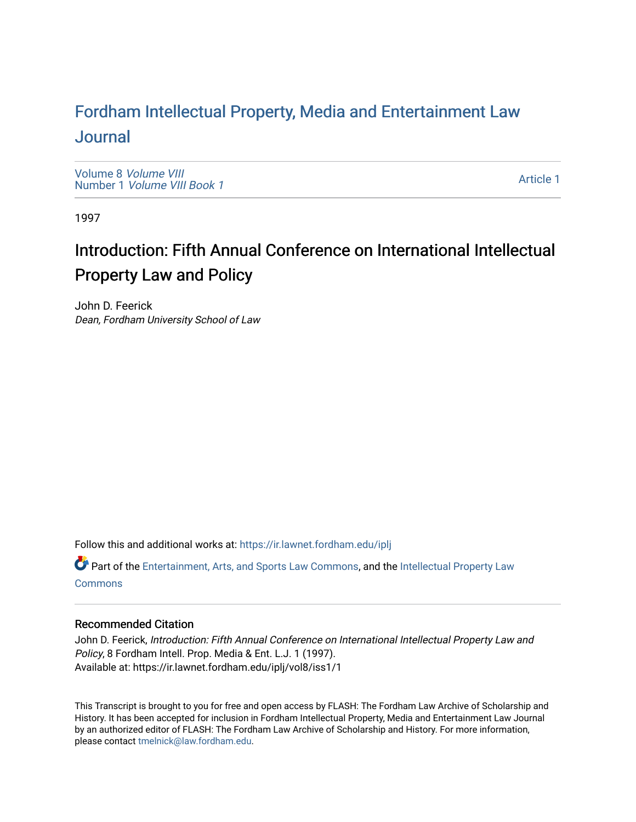### For[dham Intellectual Property, Media and Enter](https://ir.lawnet.fordham.edu/iplj)tainment Law [Journal](https://ir.lawnet.fordham.edu/iplj)

[Volume 8](https://ir.lawnet.fordham.edu/iplj/vol8) Volume VIII Number 1 [Volume VIII Book 1](https://ir.lawnet.fordham.edu/iplj/vol8/iss1)

[Article 1](https://ir.lawnet.fordham.edu/iplj/vol8/iss1/1) 

1997

# Introduction: Fifth Annual Conference on International Intellectual Property Law and Policy

John D. Feerick Dean, Fordham University School of Law

Follow this and additional works at: [https://ir.lawnet.fordham.edu/iplj](https://ir.lawnet.fordham.edu/iplj?utm_source=ir.lawnet.fordham.edu%2Fiplj%2Fvol8%2Fiss1%2F1&utm_medium=PDF&utm_campaign=PDFCoverPages) 

Part of the [Entertainment, Arts, and Sports Law Commons](http://network.bepress.com/hgg/discipline/893?utm_source=ir.lawnet.fordham.edu%2Fiplj%2Fvol8%2Fiss1%2F1&utm_medium=PDF&utm_campaign=PDFCoverPages), and the [Intellectual Property Law](http://network.bepress.com/hgg/discipline/896?utm_source=ir.lawnet.fordham.edu%2Fiplj%2Fvol8%2Fiss1%2F1&utm_medium=PDF&utm_campaign=PDFCoverPages) **[Commons](http://network.bepress.com/hgg/discipline/896?utm_source=ir.lawnet.fordham.edu%2Fiplj%2Fvol8%2Fiss1%2F1&utm_medium=PDF&utm_campaign=PDFCoverPages)** 

#### Recommended Citation

John D. Feerick, Introduction: Fifth Annual Conference on International Intellectual Property Law and Policy, 8 Fordham Intell. Prop. Media & Ent. L.J. 1 (1997). Available at: https://ir.lawnet.fordham.edu/iplj/vol8/iss1/1

This Transcript is brought to you for free and open access by FLASH: The Fordham Law Archive of Scholarship and History. It has been accepted for inclusion in Fordham Intellectual Property, Media and Entertainment Law Journal by an authorized editor of FLASH: The Fordham Law Archive of Scholarship and History. For more information, please contact [tmelnick@law.fordham.edu](mailto:tmelnick@law.fordham.edu).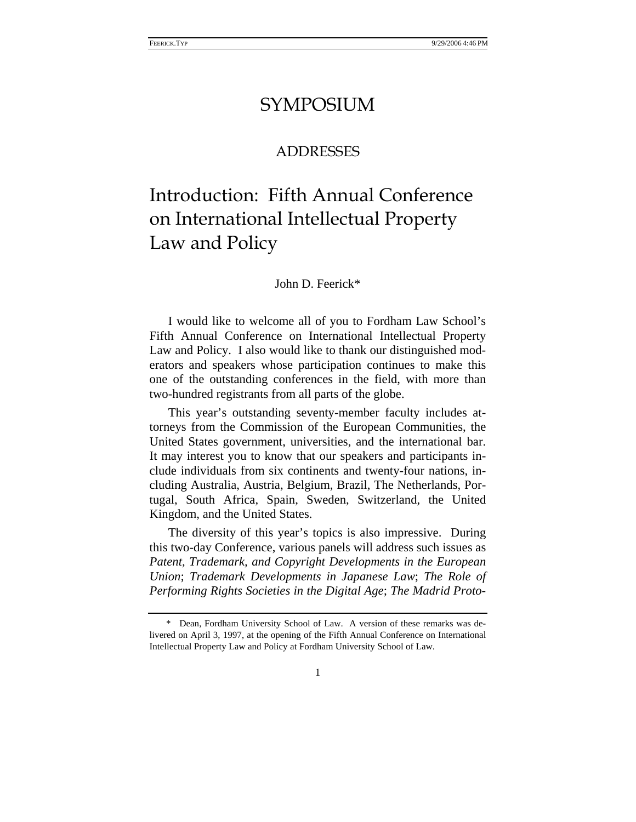### SYMPOSIUM

### ADDRESSES

# Introduction: Fifth Annual Conference on International Intellectual Property Law and Policy

#### John D. Feerick\*

I would like to welcome all of you to Fordham Law School's Fifth Annual Conference on International Intellectual Property Law and Policy. I also would like to thank our distinguished moderators and speakers whose participation continues to make this one of the outstanding conferences in the field, with more than two-hundred registrants from all parts of the globe.

This year's outstanding seventy-member faculty includes attorneys from the Commission of the European Communities, the United States government, universities, and the international bar. It may interest you to know that our speakers and participants include individuals from six continents and twenty-four nations, including Australia, Austria, Belgium, Brazil, The Netherlands, Portugal, South Africa, Spain, Sweden, Switzerland, the United Kingdom, and the United States.

The diversity of this year's topics is also impressive. During this two-day Conference, various panels will address such issues as *Patent, Trademark, and Copyright Developments in the European Union*; *Trademark Developments in Japanese Law*; *The Role of Performing Rights Societies in the Digital Age*; *The Madrid Proto-*

<sup>\*</sup> Dean, Fordham University School of Law. A version of these remarks was delivered on April 3, 1997, at the opening of the Fifth Annual Conference on International Intellectual Property Law and Policy at Fordham University School of Law.